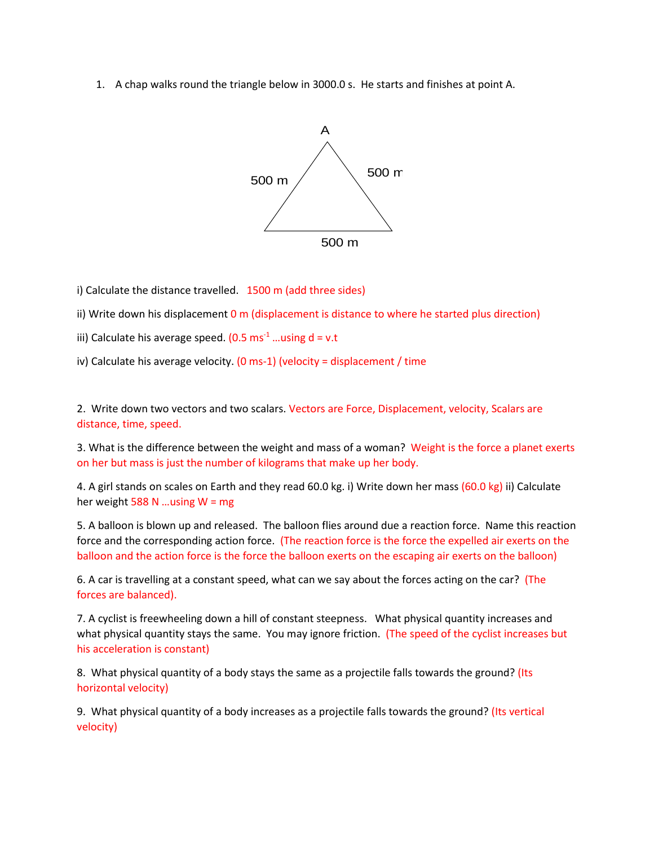1. A chap walks round the triangle below in 3000.0 s. He starts and finishes at point A.



i) Calculate the distance travelled. 1500 m (add three sides)

ii) Write down his displacement  $0$  m (displacement is distance to where he started plus direction)

iii) Calculate his average speed.  $(0.5 \text{ ms}^{-1} \dots \text{using } d = v.t)$ 

iv) Calculate his average velocity. (0 ms-1) (velocity = displacement / time

2. Write down two vectors and two scalars. Vectors are Force, Displacement, velocity, Scalars are distance, time, speed.

3. What is the difference between the weight and mass of a woman? Weight is the force a planet exerts on her but mass is just the number of kilograms that make up her body.

4. A girl stands on scales on Earth and they read 60.0 kg. i) Write down her mass (60.0 kg) ii) Calculate her weight 588 N ... using  $W = mg$ 

5. A balloon is blown up and released. The balloon flies around due a reaction force. Name this reaction force and the corresponding action force. (The reaction force is the force the expelled air exerts on the balloon and the action force is the force the balloon exerts on the escaping air exerts on the balloon)

6. A car is travelling at a constant speed, what can we say about the forces acting on the car? (The forces are balanced).

7. A cyclist is freewheeling down a hill of constant steepness. What physical quantity increases and what physical quantity stays the same. You may ignore friction. (The speed of the cyclist increases but his acceleration is constant)

8. What physical quantity of a body stays the same as a projectile falls towards the ground? (Its horizontal velocity)

9. What physical quantity of a body increases as a projectile falls towards the ground? (Its vertical velocity)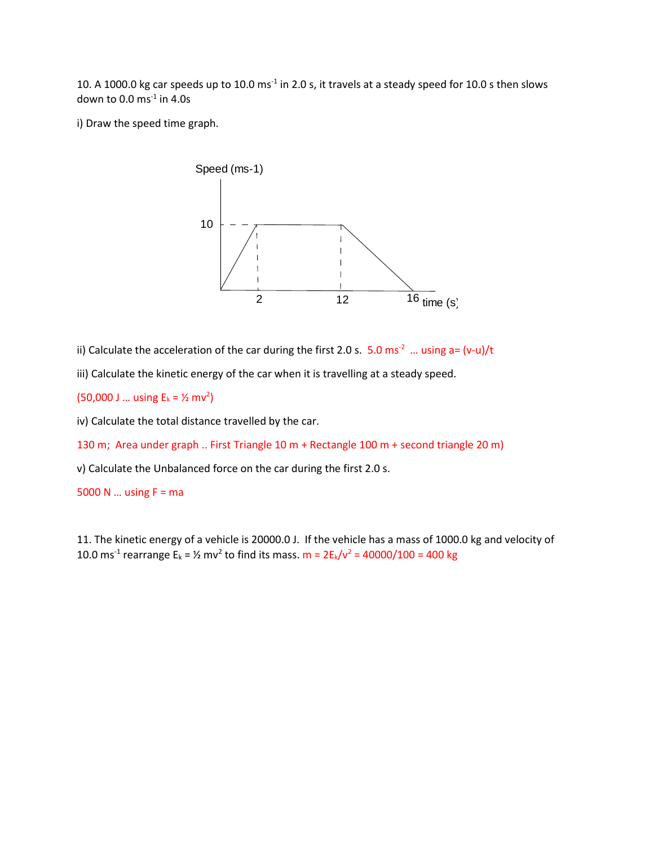10. A 1000.0 kg car speeds up to 10.0 ms<sup>-1</sup> in 2.0 s, it travels at a steady speed for 10.0 s then slows down to 0.0  $\text{ms}^{-1}$  in 4.0s

i) Draw the speed time graph.



ii) Calculate the acceleration of the car during the first 2.0 s.  $5.0$  ms<sup>-2</sup> ... using a= (v-u)/t

iii) Calculate the kinetic energy of the car when it is travelling at a steady speed.

 $(50,000 \text{ J} ... \text{ using } E_k = \frac{1}{2} \text{ m}v^2)$ 

iv) Calculate the total distance travelled by the car.

130 m; Area under graph .. First Triangle 10 m + Rectangle 100 m + second triangle 20 m)

v) Calculate the Unbalanced force on the car during the first 2.0 s.

5000 N  $\dots$  using F = ma

11. The kinetic energy of a vehicle is 20000.0 J. If the vehicle has a mass of 1000.0 kg and velocity of 10.0 ms<sup>-1</sup> rearrange E<sub>k</sub> =  $\frac{1}{2}$  mv<sup>2</sup> to find its mass. m =  $2E_k/v^2 = 40000/100 = 400$  kg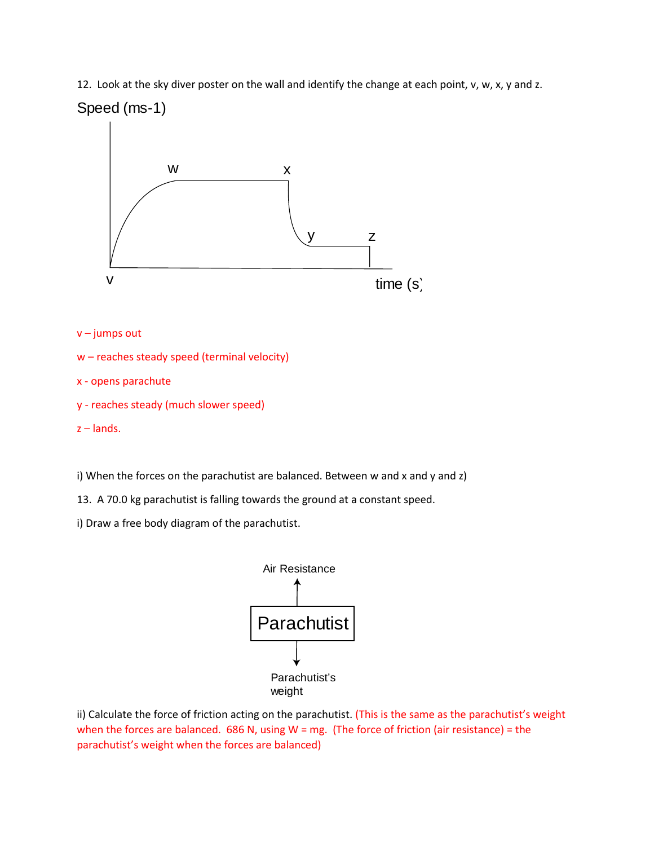12. Look at the sky diver poster on the wall and identify the change at each point, v, w, x, y and z.



v – jumps out

```
w – reaches steady speed (terminal velocity)
```
x - opens parachute

```
y - reaches steady (much slower speed)
```
z – lands.

i) When the forces on the parachutist are balanced. Between w and x and y and z)

13. A 70.0 kg parachutist is falling towards the ground at a constant speed.

i) Draw a free body diagram of the parachutist.



ii) Calculate the force of friction acting on the parachutist. (This is the same as the parachutist's weight when the forces are balanced.  $686$  N, using W = mg. (The force of friction (air resistance) = the parachutist's weight when the forces are balanced)